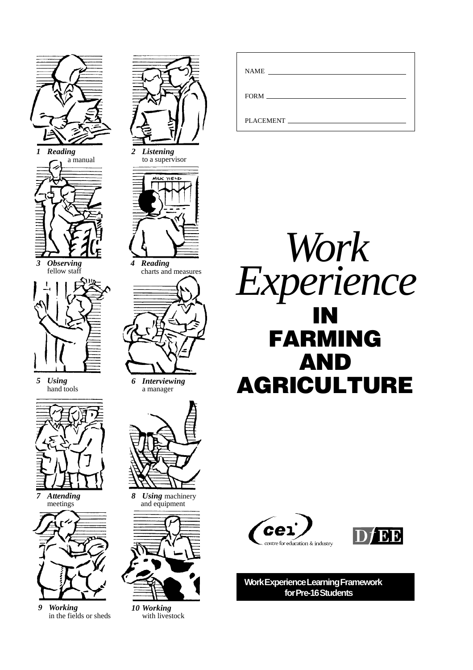

*9 Working* in the fields or sheds

*10 Working* with livestock









**Work Experience Learning Framework for Pre-16 Students**